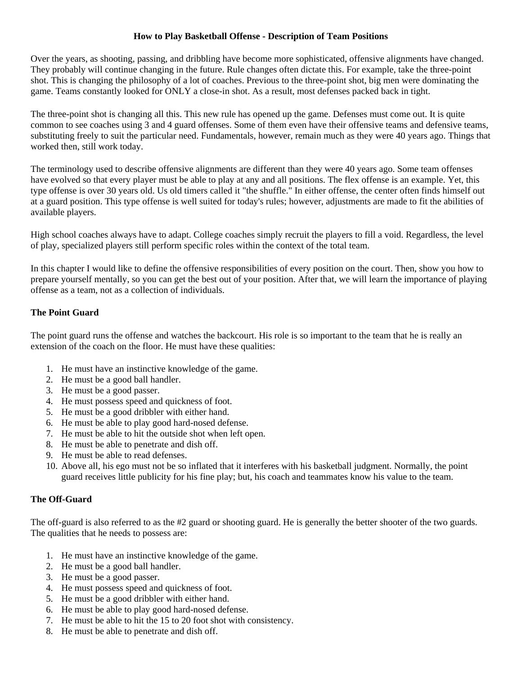## **How to Play Basketball Offense - Description of Team Positions**

Over the years, as shooting, passing, and dribbling have become more sophisticated, offensive alignments have changed. They probably will continue changing in the future. Rule changes often dictate this. For example, take the three-point shot. This is changing the philosophy of a lot of coaches. Previous to the three-point shot, big men were dominating the game. Teams constantly looked for ONLY a close-in shot. As a result, most defenses packed back in tight.

The three-point shot is changing all this. This new rule has opened up the game. Defenses must come out. It is quite common to see coaches using 3 and 4 guard offenses. Some of them even have their offensive teams and defensive teams, substituting freely to suit the particular need. Fundamentals, however, remain much as they were 40 years ago. Things that worked then, still work today.

The terminology used to describe offensive alignments are different than they were 40 years ago. Some team offenses have evolved so that every player must be able to play at any and all positions. The flex offense is an example. Yet, this type offense is over 30 years old. Us old timers called it "the shuffle." In either offense, the center often finds himself out at a guard position. This type offense is well suited for today's rules; however, adjustments are made to fit the abilities of available players.

High school coaches always have to adapt. College coaches simply recruit the players to fill a void. Regardless, the level of play, specialized players still perform specific roles within the context of the total team.

In this chapter I would like to define the offensive responsibilities of every position on the court. Then, show you how to prepare yourself mentally, so you can get the best out of your position. After that, we will learn the importance of playing offense as a team, not as a collection of individuals.

# **The Point Guard**

The point guard runs the offense and watches the backcourt. His role is so important to the team that he is really an extension of the coach on the floor. He must have these qualities:

- 1. He must have an instinctive knowledge of the game.
- 2. He must be a good ball handler.
- 3. He must be a good passer.
- 4. He must possess speed and quickness of foot.
- 5. He must be a good dribbler with either hand.
- 6. He must be able to play good hard-nosed defense.
- 7. He must be able to hit the outside shot when left open.
- 8. He must be able to penetrate and dish off.
- 9. He must be able to read defenses.
- 10. Above all, his ego must not be so inflated that it interferes with his basketball judgment. Normally, the point guard receives little publicity for his fine play; but, his coach and teammates know his value to the team.

# **The Off-Guard**

The off-guard is also referred to as the #2 guard or shooting guard. He is generally the better shooter of the two guards. The qualities that he needs to possess are:

- 1. He must have an instinctive knowledge of the game.
- 2. He must be a good ball handler.
- 3. He must be a good passer.
- 4. He must possess speed and quickness of foot.
- 5. He must be a good dribbler with either hand.
- 6. He must be able to play good hard-nosed defense.
- 7. He must be able to hit the 15 to 20 foot shot with consistency.
- 8. He must be able to penetrate and dish off.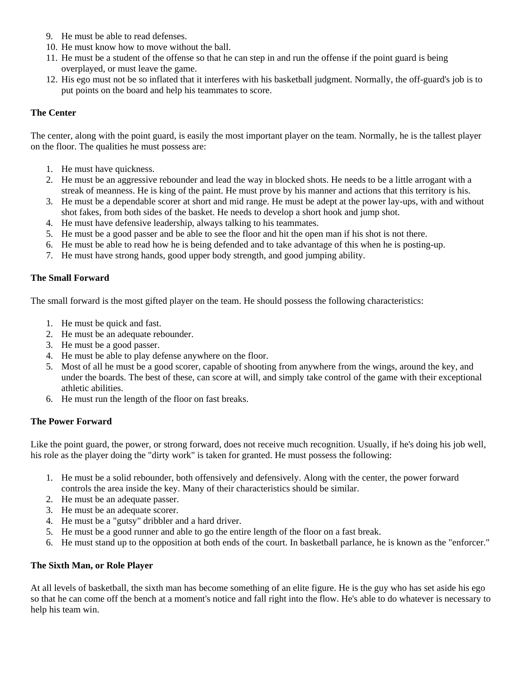- 9. He must be able to read defenses.
- 10. He must know how to move without the ball.
- 11. He must be a student of the offense so that he can step in and run the offense if the point guard is being overplayed, or must leave the game.
- 12. His ego must not be so inflated that it interferes with his basketball judgment. Normally, the off-guard's job is to put points on the board and help his teammates to score.

### **The Center**

The center, along with the point guard, is easily the most important player on the team. Normally, he is the tallest player on the floor. The qualities he must possess are:

- 1. He must have quickness.
- 2. He must be an aggressive rebounder and lead the way in blocked shots. He needs to be a little arrogant with a streak of meanness. He is king of the paint. He must prove by his manner and actions that this territory is his.
- 3. He must be a dependable scorer at short and mid range. He must be adept at the power lay-ups, with and without shot fakes, from both sides of the basket. He needs to develop a short hook and jump shot.
- 4. He must have defensive leadership, always talking to his teammates.
- 5. He must be a good passer and be able to see the floor and hit the open man if his shot is not there.
- 6. He must be able to read how he is being defended and to take advantage of this when he is posting-up.
- 7. He must have strong hands, good upper body strength, and good jumping ability.

### **The Small Forward**

The small forward is the most gifted player on the team. He should possess the following characteristics:

- 1. He must be quick and fast.
- 2. He must be an adequate rebounder.
- 3. He must be a good passer.
- 4. He must be able to play defense anywhere on the floor.
- 5. Most of all he must be a good scorer, capable of shooting from anywhere from the wings, around the key, and under the boards. The best of these, can score at will, and simply take control of the game with their exceptional athletic abilities.
- 6. He must run the length of the floor on fast breaks.

## **The Power Forward**

Like the point guard, the power, or strong forward, does not receive much recognition. Usually, if he's doing his job well, his role as the player doing the "dirty work" is taken for granted. He must possess the following:

- 1. He must be a solid rebounder, both offensively and defensively. Along with the center, the power forward controls the area inside the key. Many of their characteristics should be similar.
- 2. He must be an adequate passer.
- 3. He must be an adequate scorer.
- 4. He must be a "gutsy" dribbler and a hard driver.
- 5. He must be a good runner and able to go the entire length of the floor on a fast break.
- 6. He must stand up to the opposition at both ends of the court. In basketball parlance, he is known as the "enforcer."

#### **The Sixth Man, or Role Player**

At all levels of basketball, the sixth man has become something of an elite figure. He is the guy who has set aside his ego so that he can come off the bench at a moment's notice and fall right into the flow. He's able to do whatever is necessary to help his team win.